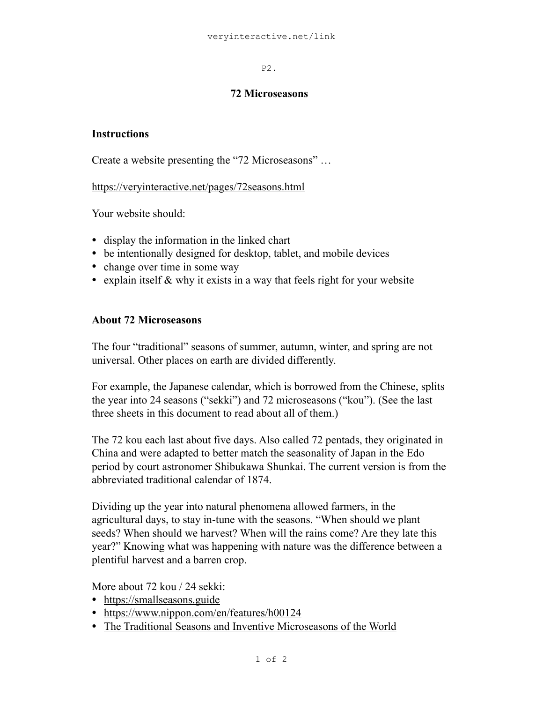P2.

### **72 Microseasons**

# **Instructions**

Create a website presenting the "72 Microseasons" …

<https://veryinteractive.net/pages/72seasons.html>

Your website should:

- display the information in the linked chart
- be intentionally designed for desktop, tablet, and mobile devices
- change over time in some way
- explain itself & why it exists in a way that feels right for your website

# **About 72 Microseasons**

The four "traditional" seasons of summer, autumn, winter, and spring are not universal. Other places on earth are divided differently.

For example, the Japanese calendar, which is borrowed from the Chinese, splits the year into 24 seasons ("sekki") and 72 microseasons ("kou"). (See the last three sheets in this document to read about all of them.)

The 72 kou each last about five days. Also called 72 pentads, they originated in China and were adapted to better match the seasonality of Japan in the Edo period by court astronomer Shibukawa Shunkai. The current version is from the abbreviated traditional calendar of 1874.

Dividing up the year into natural phenomena allowed farmers, in the agricultural days, to stay in-tune with the seasons. "When should we plant seeds? When should we harvest? When will the rains come? Are they late this year?" Knowing what was happening with nature was the difference between a plentiful harvest and a barren crop.

More about 72 kou / 24 sekki:

- <https://smallseasons.guide>
- <https://www.nippon.com/en/features/h00124>
- [The Traditional Seasons and Inventive Microseasons of the World](https://bit.ly/3IAzLue)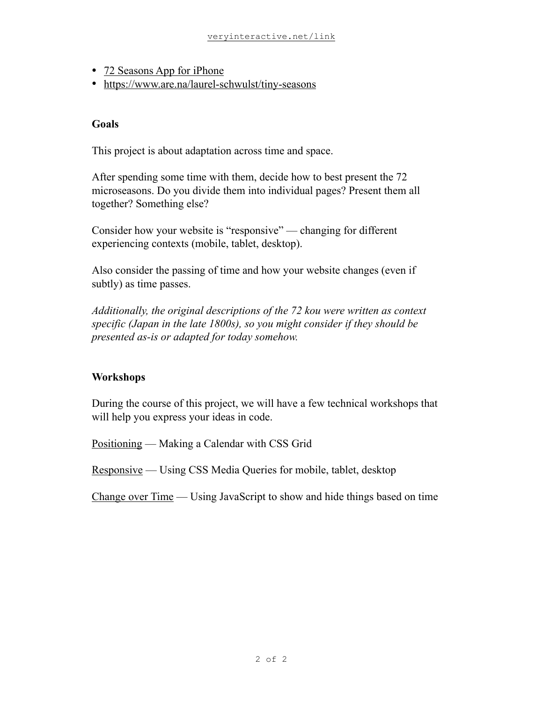- [72 Seasons App for iPhone](https://bit.ly/3sz7JtA)
- <https://www.are.na/laurel-schwulst/tiny-seasons>

### **Goals**

This project is about adaptation across time and space.

After spending some time with them, decide how to best present the 72 microseasons. Do you divide them into individual pages? Present them all together? Something else?

Consider how your website is "responsive" — changing for different experiencing contexts (mobile, tablet, desktop).

Also consider the passing of time and how your website changes (even if subtly) as time passes.

*Additionally, the original descriptions of the 72 kou were written as context specific (Japan in the late 1800s), so you might consider if they should be presented as-is or adapted for today somehow.*

# **Workshops**

During the course of this project, we will have a few technical workshops that will help you express your ideas in code.

Positioning — Making a Calendar with CSS Grid

Responsive — Using CSS Media Queries for mobile, tablet, desktop

Change over Time — Using JavaScript to show and hide things based on time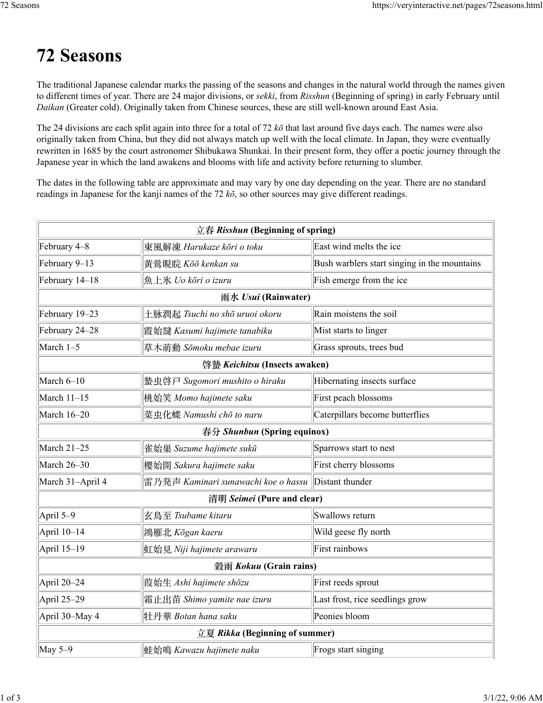# **72 Seasons**

The traditional Japanese calendar marks the passing of the seasons and changes in the natural world through the names given to different times of year. There are 24 major divisions, or *sekki*, from *Risshun* (Beginning of spring) in early February until *Daikan* (Greater cold). Originally taken from Chinese sources, these are still well-known around East Asia.

The 24 divisions are each split again into three for a total of 72 *kō* that last around five days each. The names were also originally taken from China, but they did not always match up well with the local climate. In Japan, they were eventually rewritten in 1685 by the court astronomer Shibukawa Shunkai. In their present form, they offer a poetic journey through the Japanese year in which the land awakens and blooms with life and activity before returning to slumber.

The dates in the following table are approximate and may vary by one day depending on the year. There are no standard readings in Japanese for the kanji names of the 72 *kō*, so other sources may give different readings.

| 立春 Risshun (Beginning of spring) |                                                     |                                              |  |  |
|----------------------------------|-----------------------------------------------------|----------------------------------------------|--|--|
| February 4-8                     | 東風解凍 Harukaze kōri o toku                           | East wind melts the ice                      |  |  |
| February 9-13                    | 黄鶯睍睆 Kōō kenkan su                                  | Bush warblers start singing in the mountains |  |  |
| February 14-18                   | 魚上氷 Uo kōri o izuru                                 | Fish emerge from the ice                     |  |  |
|                                  | 雨水 Usui (Rainwater)                                 |                                              |  |  |
| February 19-23                   | 土脉潤起 Tsuchi no shō uruoi okoru                      | Rain moistens the soil                       |  |  |
| February 24-28                   | 霞始靆 Kasumi hajimete tanabiku                        | Mist starts to linger                        |  |  |
| March 1-5                        | 草木萌動 Sōmoku mebae izuru                             | Grass sprouts, trees bud                     |  |  |
| 啓蟄 Keichitsu (Insects awaken)    |                                                     |                                              |  |  |
| March 6-10                       | 蟄虫啓戸 Sugomori mushito o hiraku                      | Hibernating insects surface                  |  |  |
| March 11-15                      | 桃始笑 Momo hajimete saku                              | First peach blossoms                         |  |  |
| March 16-20                      | 菜虫化蝶 Namushi chō to naru                            | Caterpillars become butterflies              |  |  |
| 春分 Shunbun (Spring equinox)      |                                                     |                                              |  |  |
| March 21-25                      | 雀始巣 Suzume hajimete sukū                            | Sparrows start to nest                       |  |  |
| March 26-30                      | 櫻始開 Sakura hajimete saku                            | First cherry blossoms                        |  |  |
| March 31-April 4                 | 雷乃発声 Kaminari sunawachi koe o hassu Distant thunder |                                              |  |  |
| 清明 Seimei (Pure and clear)       |                                                     |                                              |  |  |
| April 5-9                        | 玄鳥至 Tsubame kitaru                                  | Swallows return                              |  |  |
| April 10-14                      | 鴻雁北 Kōgan kaeru                                     | Wild geese fly north                         |  |  |
| April 15-19                      | 虹始見 Niji hajimete arawaru                           | First rainbows                               |  |  |
| 穀雨 Kokuu (Grain rains)           |                                                     |                                              |  |  |
| April 20-24                      | 莨始生 Ashi hajimete shōzu                             | First reeds sprout                           |  |  |
| April 25-29                      | 霜止出苗 Shimo yamite nae izuru                         | Last frost, rice seedlings grow              |  |  |
| April 30-May 4                   | 牡丹華 Botan hana saku                                 | Peonies bloom                                |  |  |
| 立夏 Rikka (Beginning of summer)   |                                                     |                                              |  |  |
| May $5-9$                        | 蛙始鳴 Kawazu hajimete naku                            | Frogs start singing                          |  |  |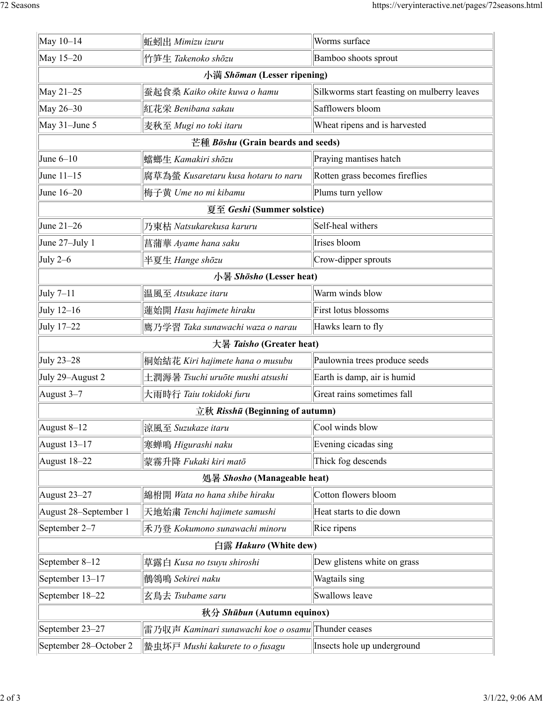| May $10-14$                       | 蚯蚓出 Mimizu izuru                                    | Worms surface                               |  |  |
|-----------------------------------|-----------------------------------------------------|---------------------------------------------|--|--|
| May 15-20                         | 竹笋生 Takenoko shōzu                                  | Bamboo shoots sprout                        |  |  |
| 小満 Shōman (Lesser ripening)       |                                                     |                                             |  |  |
| May 21-25                         | 蚕起食桑 Kaiko okite kuwa o hamu                        | Silkworms start feasting on mulberry leaves |  |  |
| May 26-30                         | 紅花栄 Benibana sakau                                  | Safflowers bloom                            |  |  |
| May $31$ -June 5                  | 麦秋至 Mugi no toki itaru                              | Wheat ripens and is harvested               |  |  |
| 芒種 Bōshu (Grain beards and seeds) |                                                     |                                             |  |  |
| June $6-10$                       | 蟷螂生 Kamakiri shōzu                                  | Praying mantises hatch                      |  |  |
| June $11-15$                      | 腐草為螢 Kusaretaru kusa hotaru to naru                 | Rotten grass becomes fireflies              |  |  |
| June $16-20$                      | 梅子黄 Ume no mi kibamu                                | Plums turn yellow                           |  |  |
| 夏至 Geshi (Summer solstice)        |                                                     |                                             |  |  |
| June $21-26$                      | 乃東枯 Natsukarekusa karuru                            | Self-heal withers                           |  |  |
| June $27 -$ July 1                | 菖蒲華 Ayame hana saku                                 | Irises bloom                                |  |  |
| July $2-6$                        | 半夏生 Hange shōzu                                     | Crow-dipper sprouts                         |  |  |
| 小暑 Shōsho (Lesser heat)           |                                                     |                                             |  |  |
| July $7-11$                       | 溫風至 Atsukaze itaru                                  | Warm winds blow                             |  |  |
| July $12-16$                      | 蓮始開 Hasu hajimete hiraku                            | First lotus blossoms                        |  |  |
| July 17-22                        | 鷹乃学習 Taka sunawachi waza o narau                    | Hawks learn to fly                          |  |  |
| 大暑 <i>Taisho</i> (Greater heat)   |                                                     |                                             |  |  |
| July 23-28                        | 桐始結花 Kiri hajimete hana o musubu                    | Paulownia trees produce seeds               |  |  |
| July 29–August 2                  | 土潤溽暑 Tsuchi uruōte mushi atsushi                    | Earth is damp, air is humid                 |  |  |
| August $3-7$                      | 大雨時行 Taiu tokidoki furu                             | Great rains sometimes fall                  |  |  |
|                                   | 立秋 Risshū (Beginning of autumn)                     |                                             |  |  |
| August $8-12$                     | 涼風至 Suzukaze itaru                                  | Cool winds blow                             |  |  |
| August $13-17$                    | 寒蝉鳴 Higurashi naku                                  | Evening cicadas sing                        |  |  |
| August $18-22$                    | 蒙霧升降 Fukaki kiri matō                               | Thick fog descends                          |  |  |
|                                   | 処暑 Shosho (Manageable heat)                         |                                             |  |  |
| August $23-27$                    | 綿柎開 Wata no hana shibe hiraku                       | Cotton flowers bloom                        |  |  |
| August 28-September 1             | 天地始粛 Tenchi hajimete samushi                        | Heat starts to die down                     |  |  |
| September 2–7                     | 禾乃登 Kokumono sunawachi minoru                       | Rice ripens                                 |  |  |
| 白露 Hakuro (White dew)             |                                                     |                                             |  |  |
| September 8-12                    | 草露白 Kusa no tsuyu shiroshi                          | Dew glistens white on grass                 |  |  |
| September 13-17                   | 鶺鴒鳴 Sekirei naku                                    | Wagtails sing                               |  |  |
| September 18-22                   | 玄鳥去 Tsubame saru                                    | Swallows leave                              |  |  |
| 秋分 Shūbun (Autumn equinox)        |                                                     |                                             |  |  |
| September 23-27                   | 雷乃収声 Kaminari sunawachi koe o osamu  Thunder ceases |                                             |  |  |
| September 28-October 2            | 蟄虫坏戸 Mushi kakurete to o fusagu                     | Insects hole up underground                 |  |  |